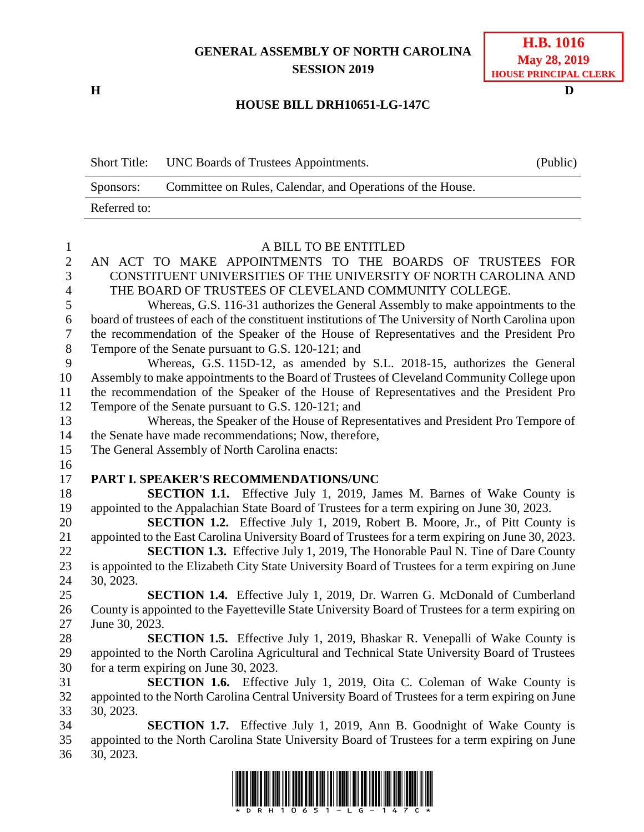## **GENERAL ASSEMBLY OF NORTH CAROLINA SESSION 2019**

**H D**

## **H.B. 1016 May 28, 2019 HOUSE PRINCIPAL CLERK**

## **HOUSE BILL DRH10651-LG-147C**

|              | Short Title: UNC Boards of Trustees Appointments.          | (Public) |
|--------------|------------------------------------------------------------|----------|
| Sponsors:    | Committee on Rules, Calendar, and Operations of the House. |          |
| Referred to: |                                                            |          |
|              |                                                            |          |

| $\mathbf{1}$   | A BILL TO BE ENTITLED                                                                              |
|----------------|----------------------------------------------------------------------------------------------------|
| $\overline{2}$ | AN ACT TO MAKE APPOINTMENTS TO THE BOARDS OF TRUSTEES FOR                                          |
| 3              | CONSTITUENT UNIVERSITIES OF THE UNIVERSITY OF NORTH CAROLINA AND                                   |
| $\overline{4}$ | THE BOARD OF TRUSTEES OF CLEVELAND COMMUNITY COLLEGE.                                              |
| 5              | Whereas, G.S. 116-31 authorizes the General Assembly to make appointments to the                   |
| 6              | board of trustees of each of the constituent institutions of The University of North Carolina upon |
| $\overline{7}$ | the recommendation of the Speaker of the House of Representatives and the President Pro            |
| 8              | Tempore of the Senate pursuant to G.S. 120-121; and                                                |
| 9              | Whereas, G.S. 115D-12, as amended by S.L. 2018-15, authorizes the General                          |
| 10             | Assembly to make appointments to the Board of Trustees of Cleveland Community College upon         |
| 11             | the recommendation of the Speaker of the House of Representatives and the President Pro            |
| 12             | Tempore of the Senate pursuant to G.S. 120-121; and                                                |
| 13             | Whereas, the Speaker of the House of Representatives and President Pro Tempore of                  |
| 14             | the Senate have made recommendations; Now, therefore,                                              |
| 15             | The General Assembly of North Carolina enacts:                                                     |
| 16             |                                                                                                    |
| 17             | PART I. SPEAKER'S RECOMMENDATIONS/UNC                                                              |
| 18             | <b>SECTION 1.1.</b> Effective July 1, 2019, James M. Barnes of Wake County is                      |
| 19             | appointed to the Appalachian State Board of Trustees for a term expiring on June 30, 2023.         |
| 20             | SECTION 1.2. Effective July 1, 2019, Robert B. Moore, Jr., of Pitt County is                       |
| 21             | appointed to the East Carolina University Board of Trustees for a term expiring on June 30, 2023.  |
| 22             | <b>SECTION 1.3.</b> Effective July 1, 2019, The Honorable Paul N. Tine of Dare County              |
| 23             | is appointed to the Elizabeth City State University Board of Trustees for a term expiring on June  |
| 24             | 30, 2023.                                                                                          |
| 25             | <b>SECTION 1.4.</b> Effective July 1, 2019, Dr. Warren G. McDonald of Cumberland                   |
| 26             | County is appointed to the Fayetteville State University Board of Trustees for a term expiring on  |
| 27             | June 30, 2023.                                                                                     |
| 28             | <b>SECTION 1.5.</b> Effective July 1, 2019, Bhaskar R. Venepalli of Wake County is                 |
| 29             | appointed to the North Carolina Agricultural and Technical State University Board of Trustees      |
| 30             | for a term expiring on June 30, 2023.                                                              |
| 31             | <b>SECTION 1.6.</b> Effective July 1, 2019, Oita C. Coleman of Wake County is                      |
| 32             | appointed to the North Carolina Central University Board of Trustees for a term expiring on June   |
| 33             | 30, 2023.                                                                                          |
| 34             | <b>SECTION 1.7.</b> Effective July 1, 2019, Ann B. Goodnight of Wake County is                     |
| 35             | appointed to the North Carolina State University Board of Trustees for a term expiring on June     |
| 36             | 30, 2023.                                                                                          |

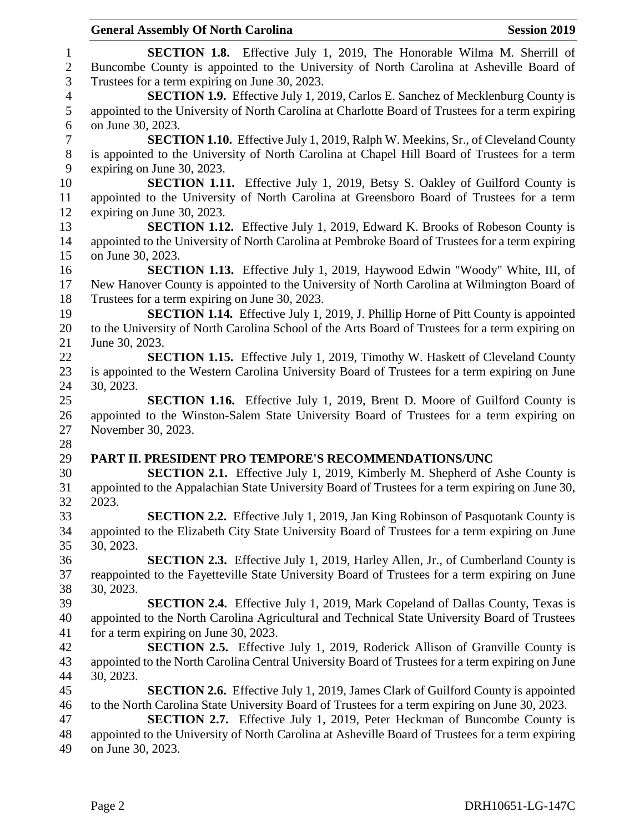|                  | <b>General Assembly Of North Carolina</b><br><b>Session 2019</b>                                                                                                                        |
|------------------|-----------------------------------------------------------------------------------------------------------------------------------------------------------------------------------------|
| $\mathbf{1}$     | <b>SECTION 1.8.</b> Effective July 1, 2019, The Honorable Wilma M. Sherrill of                                                                                                          |
| $\overline{c}$   | Buncombe County is appointed to the University of North Carolina at Asheville Board of                                                                                                  |
| 3                | Trustees for a term expiring on June 30, 2023.                                                                                                                                          |
| $\overline{4}$   | <b>SECTION 1.9.</b> Effective July 1, 2019, Carlos E. Sanchez of Mecklenburg County is                                                                                                  |
| 5                | appointed to the University of North Carolina at Charlotte Board of Trustees for a term expiring                                                                                        |
| 6                | on June 30, 2023.                                                                                                                                                                       |
| $\boldsymbol{7}$ | <b>SECTION 1.10.</b> Effective July 1, 2019, Ralph W. Meekins, Sr., of Cleveland County                                                                                                 |
| $8\,$            | is appointed to the University of North Carolina at Chapel Hill Board of Trustees for a term                                                                                            |
| 9                | expiring on June 30, 2023.                                                                                                                                                              |
| 10               | <b>SECTION 1.11.</b> Effective July 1, 2019, Betsy S. Oakley of Guilford County is                                                                                                      |
| 11               | appointed to the University of North Carolina at Greensboro Board of Trustees for a term                                                                                                |
| 12               | expiring on June 30, 2023.                                                                                                                                                              |
| 13               | SECTION 1.12. Effective July 1, 2019, Edward K. Brooks of Robeson County is                                                                                                             |
| 14               | appointed to the University of North Carolina at Pembroke Board of Trustees for a term expiring                                                                                         |
| 15               | on June 30, 2023.                                                                                                                                                                       |
| 16               | <b>SECTION 1.13.</b> Effective July 1, 2019, Haywood Edwin "Woody" White, III, of                                                                                                       |
| 17               | New Hanover County is appointed to the University of North Carolina at Wilmington Board of                                                                                              |
| 18               | Trustees for a term expiring on June 30, 2023.                                                                                                                                          |
| 19               | <b>SECTION 1.14.</b> Effective July 1, 2019, J. Phillip Horne of Pitt County is appointed                                                                                               |
| 20               | to the University of North Carolina School of the Arts Board of Trustees for a term expiring on                                                                                         |
| 21               | June 30, 2023.                                                                                                                                                                          |
| 22               | <b>SECTION 1.15.</b> Effective July 1, 2019, Timothy W. Haskett of Cleveland County                                                                                                     |
| 23               | is appointed to the Western Carolina University Board of Trustees for a term expiring on June                                                                                           |
| 24               | 30, 2023.                                                                                                                                                                               |
| 25               | <b>SECTION 1.16.</b> Effective July 1, 2019, Brent D. Moore of Guilford County is                                                                                                       |
| 26               | appointed to the Winston-Salem State University Board of Trustees for a term expiring on                                                                                                |
| 27               | November 30, 2023.                                                                                                                                                                      |
| 28               |                                                                                                                                                                                         |
| 29<br>30         | PART II. PRESIDENT PRO TEMPORE'S RECOMMENDATIONS/UNC                                                                                                                                    |
| 31               | <b>SECTION 2.1.</b> Effective July 1, 2019, Kimberly M. Shepherd of Ashe County is                                                                                                      |
| 32               | appointed to the Appalachian State University Board of Trustees for a term expiring on June 30,<br>2023.                                                                                |
| 33               |                                                                                                                                                                                         |
|                  | <b>SECTION 2.2.</b> Effective July 1, 2019, Jan King Robinson of Pasquotank County is<br>appointed to the Elizabeth City State University Board of Trustees for a term expiring on June |
| 34<br>35         | 30, 2023.                                                                                                                                                                               |
| 36               | <b>SECTION 2.3.</b> Effective July 1, 2019, Harley Allen, Jr., of Cumberland County is                                                                                                  |
| 37               | reappointed to the Fayetteville State University Board of Trustees for a term expiring on June                                                                                          |
| 38               | 30, 2023.                                                                                                                                                                               |
| 39               | <b>SECTION 2.4.</b> Effective July 1, 2019, Mark Copeland of Dallas County, Texas is                                                                                                    |
| 40               | appointed to the North Carolina Agricultural and Technical State University Board of Trustees                                                                                           |
| 41               | for a term expiring on June 30, 2023.                                                                                                                                                   |
| 42               | <b>SECTION 2.5.</b> Effective July 1, 2019, Roderick Allison of Granville County is                                                                                                     |
| 43               | appointed to the North Carolina Central University Board of Trustees for a term expiring on June                                                                                        |
| 44               | 30, 2023.                                                                                                                                                                               |
| 45               | <b>SECTION 2.6.</b> Effective July 1, 2019, James Clark of Guilford County is appointed                                                                                                 |
| 46               | to the North Carolina State University Board of Trustees for a term expiring on June 30, 2023.                                                                                          |
| 47               | <b>SECTION 2.7.</b> Effective July 1, 2019, Peter Heckman of Buncombe County is                                                                                                         |
| 48               | appointed to the University of North Carolina at Asheville Board of Trustees for a term expiring                                                                                        |
| 49               | on June 30, 2023.                                                                                                                                                                       |